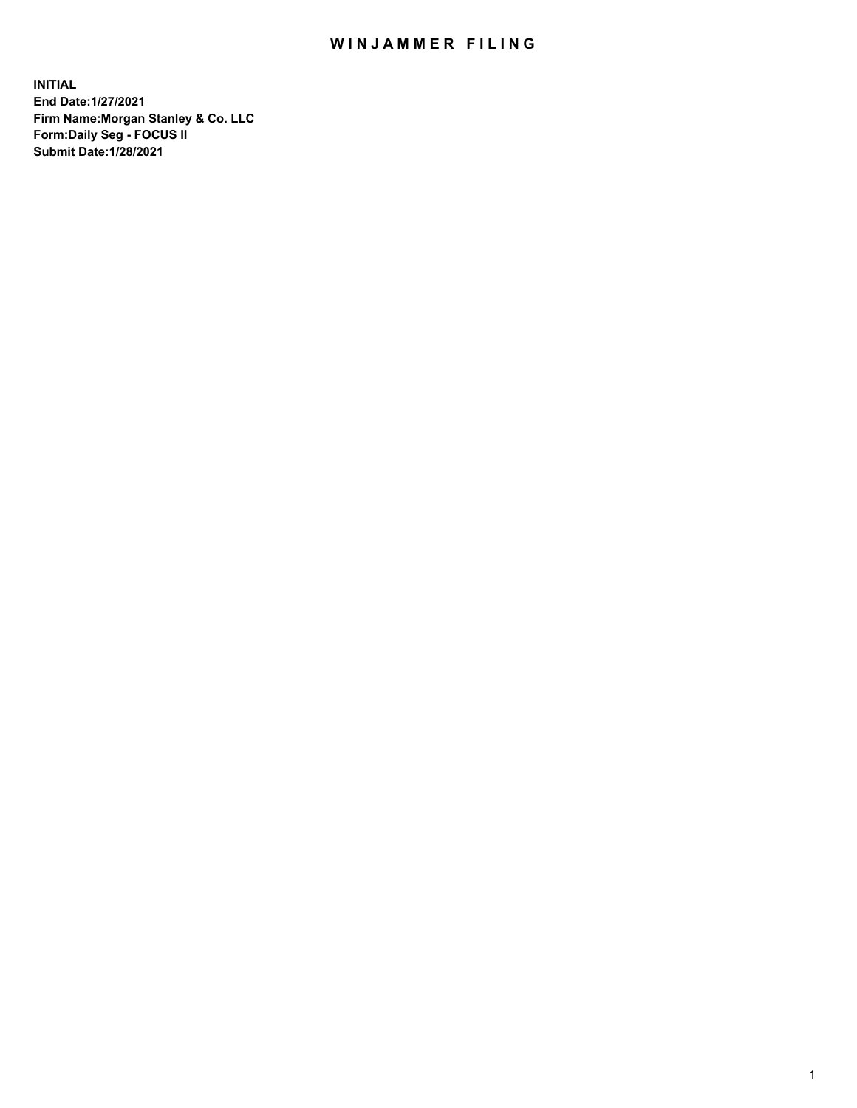## WIN JAMMER FILING

**INITIAL End Date:1/27/2021 Firm Name:Morgan Stanley & Co. LLC Form:Daily Seg - FOCUS II Submit Date:1/28/2021**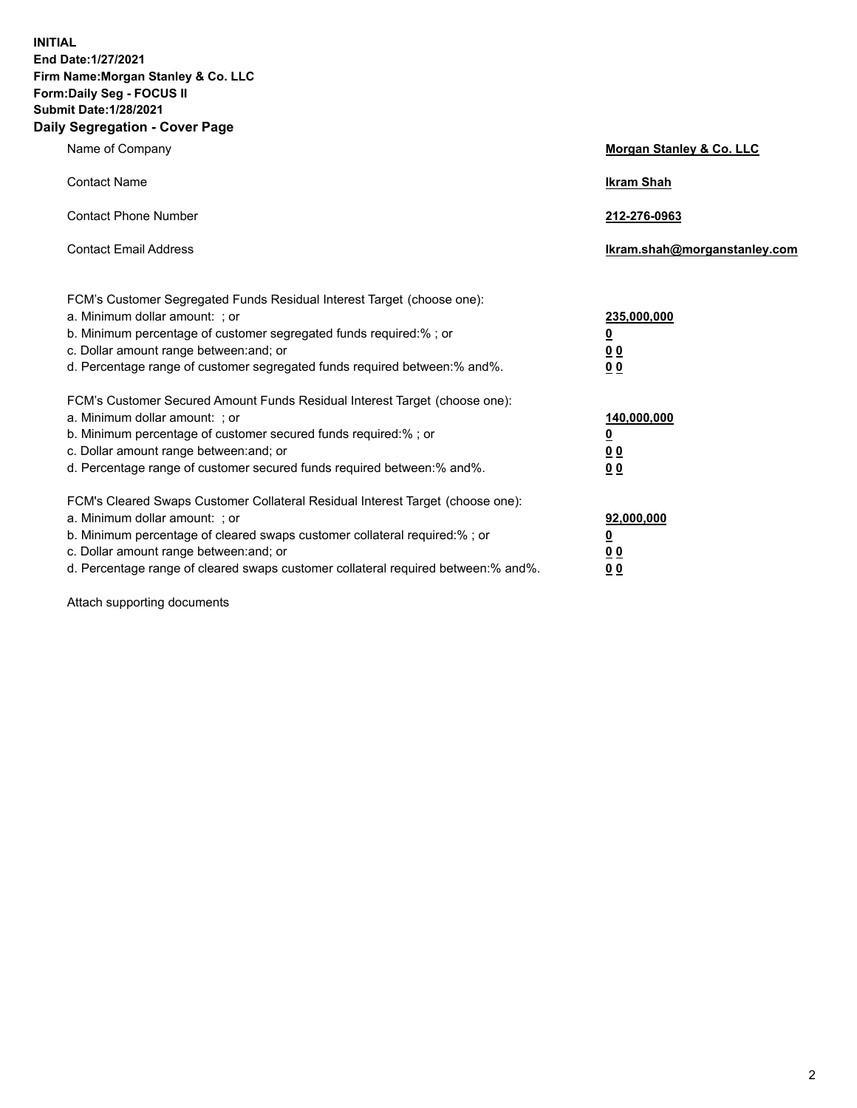**INITIAL End Date:1/27/2021 Firm Name:Morgan Stanley & Co. LLC Form:Daily Seg - FOCUS II Submit Date:1/28/2021 Daily Segregation - Cover Page**

| Name of Company                                                                                                                                                                                                                                                                                                                | Morgan Stanley & Co. LLC                                |
|--------------------------------------------------------------------------------------------------------------------------------------------------------------------------------------------------------------------------------------------------------------------------------------------------------------------------------|---------------------------------------------------------|
| <b>Contact Name</b>                                                                                                                                                                                                                                                                                                            | <b>Ikram Shah</b>                                       |
| <b>Contact Phone Number</b>                                                                                                                                                                                                                                                                                                    | 212-276-0963                                            |
| <b>Contact Email Address</b>                                                                                                                                                                                                                                                                                                   | Ikram.shah@morganstanley.com                            |
| FCM's Customer Segregated Funds Residual Interest Target (choose one):<br>a. Minimum dollar amount: ; or<br>b. Minimum percentage of customer segregated funds required:% ; or<br>c. Dollar amount range between: and; or<br>d. Percentage range of customer segregated funds required between:% and%.                         | 235,000,000<br><u>0</u><br><u>00</u><br><u>00</u>       |
| FCM's Customer Secured Amount Funds Residual Interest Target (choose one):<br>a. Minimum dollar amount: ; or<br>b. Minimum percentage of customer secured funds required:%; or<br>c. Dollar amount range between: and; or<br>d. Percentage range of customer secured funds required between:% and%.                            | 140,000,000<br><u>0</u><br><u>0 0</u><br>0 <sub>0</sub> |
| FCM's Cleared Swaps Customer Collateral Residual Interest Target (choose one):<br>a. Minimum dollar amount: ; or<br>b. Minimum percentage of cleared swaps customer collateral required:% ; or<br>c. Dollar amount range between: and; or<br>d. Percentage range of cleared swaps customer collateral required between:% and%. | 92,000,000<br><u>0</u><br><u>00</u><br>00               |

Attach supporting documents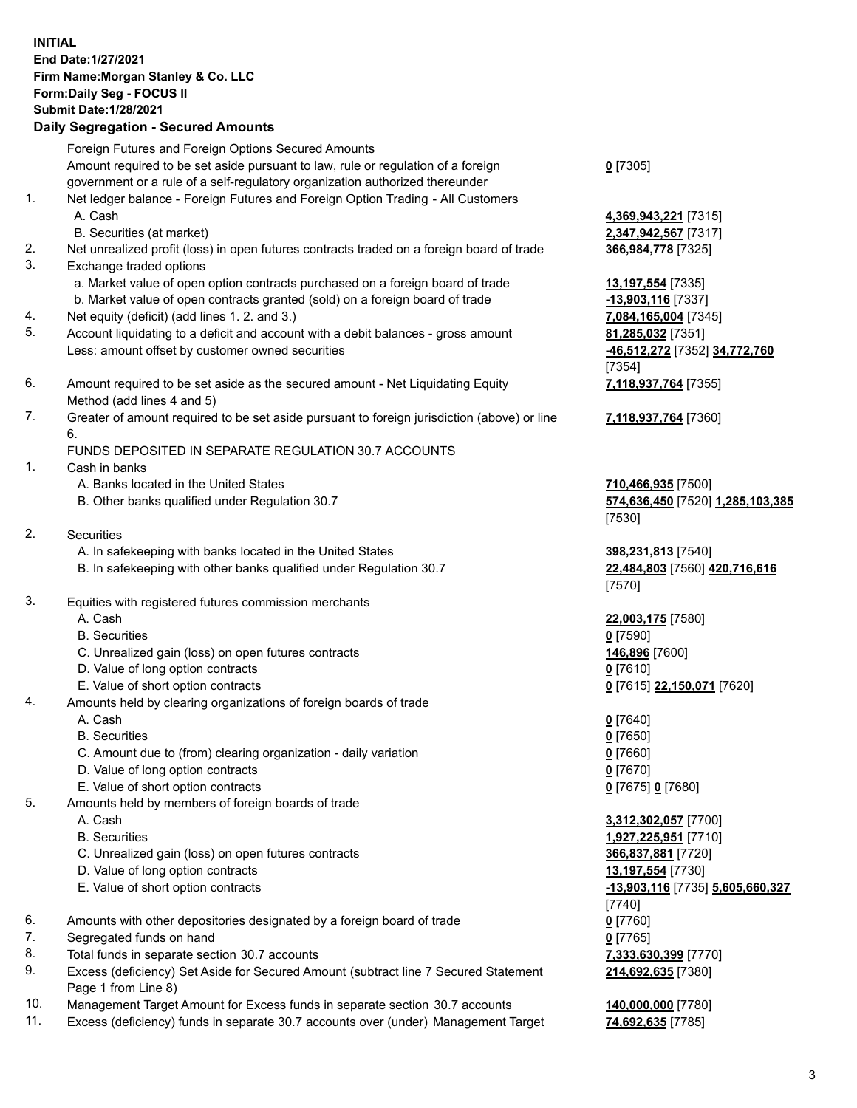## **INITIAL End Date:1/27/2021 Firm Name:Morgan Stanley & Co. LLC Form:Daily Seg - FOCUS II Submit Date:1/28/2021**

**Daily Segregation - Secured Amounts** Foreign Futures and Foreign Options Secured Amounts Amount required to be set aside pursuant to law, rule or regulation of a foreign government or a rule of a self-regulatory organization authorized thereunder 1. Net ledger balance - Foreign Futures and Foreign Option Trading - All Customers A. Cash **4,369,943,221** [7315] B. Securities (at market) **2,347,942,567** [7317] 2. Net unrealized profit (loss) in open futures contracts traded on a foreign board of trade **366,984,778** [7325] 3. Exchange traded options a. Market value of open option contracts purchased on a foreign board of trade **13,197,554** [7335] b. Market value of open contracts granted (sold) on a foreign board of trade **-13,903,116** [7337] 4. Net equity (deficit) (add lines 1. 2. and 3.) **7,084,165,004** [7345] 5. Account liquidating to a deficit and account with a debit balances - gross amount **81,285,032** [7351] Less: amount offset by customer owned securities **-46,512,272** [7352] **34,772,760** 6. Amount required to be set aside as the secured amount - Net Liquidating Equity Method (add lines 4 and 5) 7. Greater of amount required to be set aside pursuant to foreign jurisdiction (above) or line 6. FUNDS DEPOSITED IN SEPARATE REGULATION 30.7 ACCOUNTS 1. Cash in banks A. Banks located in the United States **710,466,935** [7500] B. Other banks qualified under Regulation 30.7 **574,636,450** [7520] **1,285,103,385** 2. Securities A. In safekeeping with banks located in the United States **398,231,813** [7540] B. In safekeeping with other banks qualified under Regulation 30.7 **22,484,803** [7560] **420,716,616** 3. Equities with registered futures commission merchants A. Cash **22,003,175** [7580] B. Securities **0** [7590] C. Unrealized gain (loss) on open futures contracts **146,896** [7600] D. Value of long option contracts **0** [7610] E. Value of short option contracts **0** [7615] **22,150,071** [7620] 4. Amounts held by clearing organizations of foreign boards of trade A. Cash **0** [7640] B. Securities **0** [7650] C. Amount due to (from) clearing organization - daily variation **0** [7660] D. Value of long option contracts **0** [7670] E. Value of short option contracts **0** [7675] **0** [7680]

5. Amounts held by members of foreign boards of trade

- 
- 
- C. Unrealized gain (loss) on open futures contracts **366,837,881** [7720]
- D. Value of long option contracts **13,197,554** [7730]
- E. Value of short option contracts **-13,903,116** [7735] **5,605,660,327**
- 6. Amounts with other depositories designated by a foreign board of trade **0** [7760]
- 7. Segregated funds on hand **0** [7765]
- 8. Total funds in separate section 30.7 accounts **7,333,630,399** [7770]
- 9. Excess (deficiency) Set Aside for Secured Amount (subtract line 7 Secured Statement Page 1 from Line 8)
- 10. Management Target Amount for Excess funds in separate section 30.7 accounts **140,000,000** [7780]
- 11. Excess (deficiency) funds in separate 30.7 accounts over (under) Management Target **74,692,635** [7785]

**0** [7305]

[7354] **7,118,937,764** [7355]

**7,118,937,764** [7360]

[7530]

[7570]

 A. Cash **3,312,302,057** [7700] B. Securities **1,927,225,951** [7710] [7740] **214,692,635** [7380]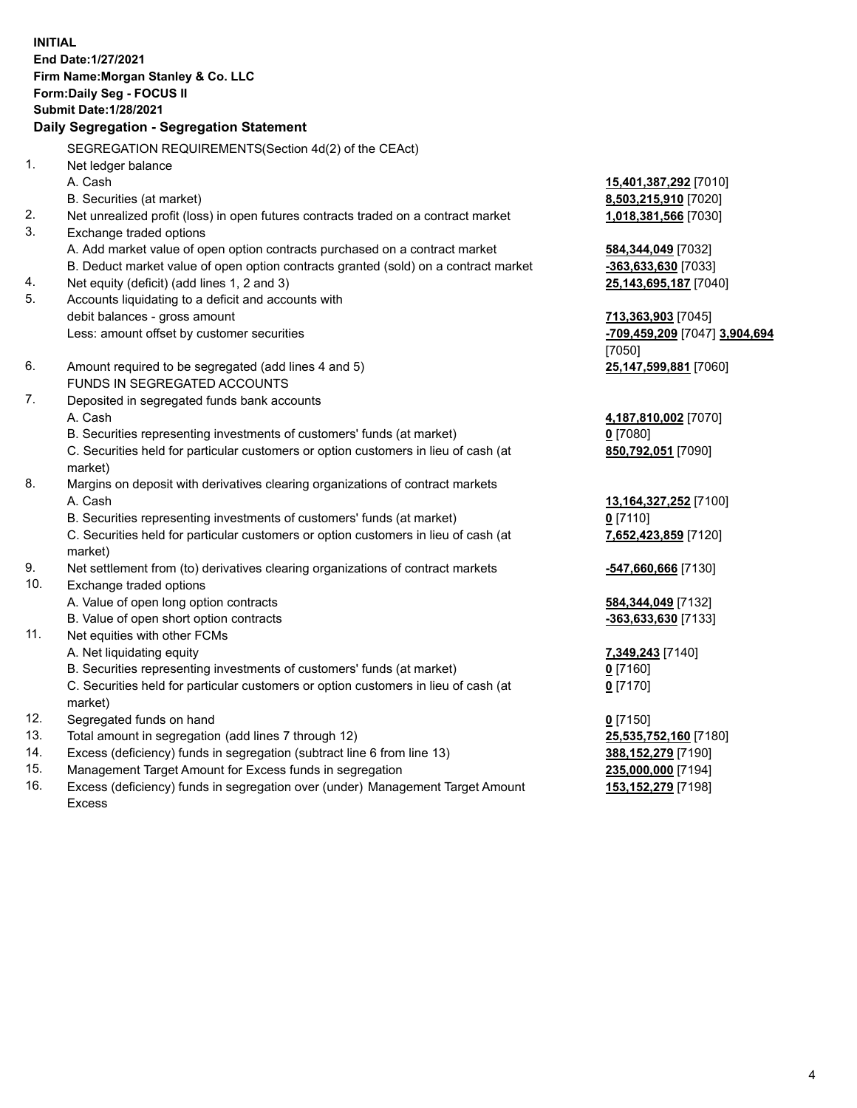**INITIAL End Date:1/27/2021 Firm Name:Morgan Stanley & Co. LLC Form:Daily Seg - FOCUS II Submit Date:1/28/2021 Daily Segregation - Segregation Statement** SEGREGATION REQUIREMENTS(Section 4d(2) of the CEAct) 1. Net ledger balance A. Cash **15,401,387,292** [7010] B. Securities (at market) **8,503,215,910** [7020] 2. Net unrealized profit (loss) in open futures contracts traded on a contract market **1,018,381,566** [7030] 3. Exchange traded options A. Add market value of open option contracts purchased on a contract market **584,344,049** [7032] B. Deduct market value of open option contracts granted (sold) on a contract market **-363,633,630** [7033] 4. Net equity (deficit) (add lines 1, 2 and 3) **25,143,695,187** [7040] 5. Accounts liquidating to a deficit and accounts with debit balances - gross amount **713,363,903** [7045] Less: amount offset by customer securities **-709,459,209** [7047] **3,904,694** [7050] 6. Amount required to be segregated (add lines 4 and 5) **25,147,599,881** [7060] FUNDS IN SEGREGATED ACCOUNTS 7. Deposited in segregated funds bank accounts A. Cash **4,187,810,002** [7070] B. Securities representing investments of customers' funds (at market) **0** [7080] C. Securities held for particular customers or option customers in lieu of cash (at market) **850,792,051** [7090] 8. Margins on deposit with derivatives clearing organizations of contract markets A. Cash **13,164,327,252** [7100] B. Securities representing investments of customers' funds (at market) **0** [7110] C. Securities held for particular customers or option customers in lieu of cash (at market) **7,652,423,859** [7120] 9. Net settlement from (to) derivatives clearing organizations of contract markets **-547,660,666** [7130] 10. Exchange traded options A. Value of open long option contracts **584,344,049** [7132] B. Value of open short option contracts **and the set of our original contracts -363,633,630** [7133] 11. Net equities with other FCMs A. Net liquidating equity **7,349,243** [7140] B. Securities representing investments of customers' funds (at market) **0** [7160] C. Securities held for particular customers or option customers in lieu of cash (at market) **0** [7170] 12. Segregated funds on hand **0** [7150] 13. Total amount in segregation (add lines 7 through 12) **25,535,752,160** [7180] 14. Excess (deficiency) funds in segregation (subtract line 6 from line 13) **388,152,279** [7190] 15. Management Target Amount for Excess funds in segregation **235,000,000** [7194]

16. Excess (deficiency) funds in segregation over (under) Management Target Amount Excess

**153,152,279** [7198]